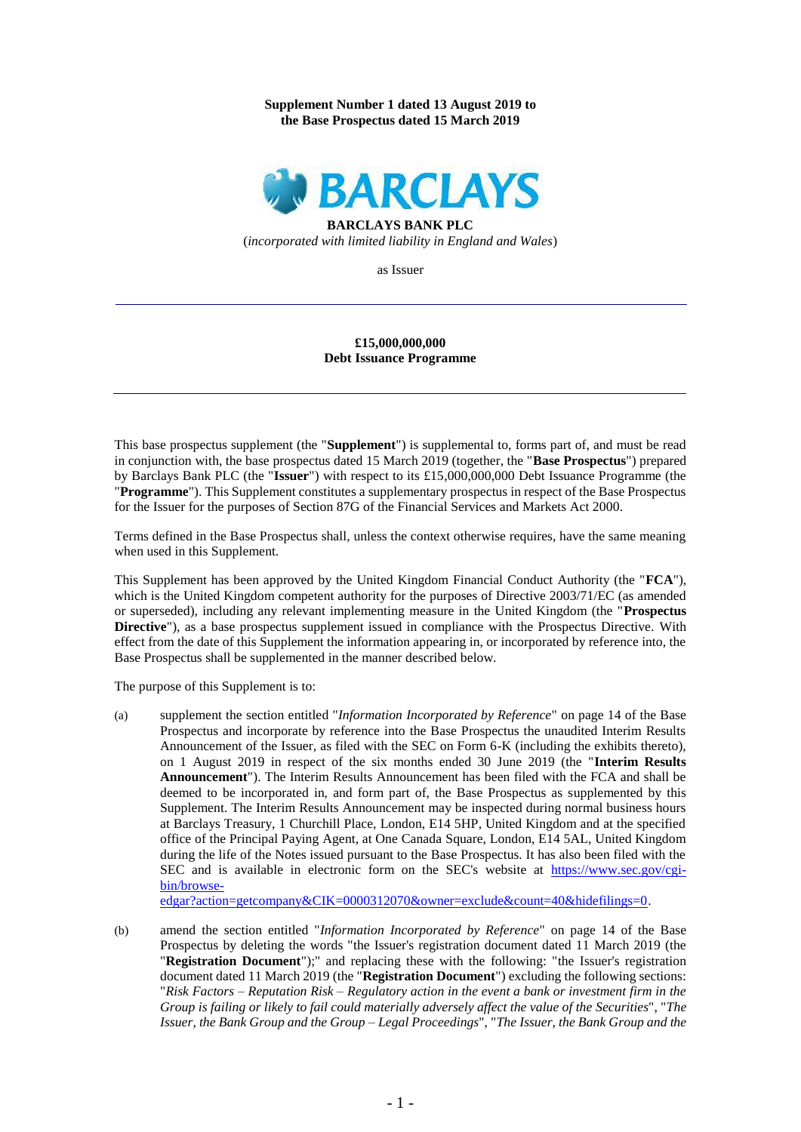### **Supplement Number 1 dated 13 August 2019 to the Base Prospectus dated 15 March 2019**



**BARCLAYS BANK PLC** (*incorporated with limited liability in England and Wales*)

as Issuer

### **£15,000,000,000 Debt Issuance Programme**

This base prospectus supplement (the "**Supplement**") is supplemental to, forms part of, and must be read in conjunction with, the base prospectus dated 15 March 2019 (together, the "**Base Prospectus**") prepared by Barclays Bank PLC (the "**Issuer**") with respect to its £15,000,000,000 Debt Issuance Programme (the "**Programme**"). This Supplement constitutes a supplementary prospectus in respect of the Base Prospectus for the Issuer for the purposes of Section 87G of the Financial Services and Markets Act 2000.

Terms defined in the Base Prospectus shall, unless the context otherwise requires, have the same meaning when used in this Supplement.

This Supplement has been approved by the United Kingdom Financial Conduct Authority (the "**FCA**"), which is the United Kingdom competent authority for the purposes of Directive 2003/71/EC (as amended or superseded), including any relevant implementing measure in the United Kingdom (the "**Prospectus Directive**"), as a base prospectus supplement issued in compliance with the Prospectus Directive. With effect from the date of this Supplement the information appearing in, or incorporated by reference into, the Base Prospectus shall be supplemented in the manner described below.

The purpose of this Supplement is to:

(a) supplement the section entitled "*Information Incorporated by Reference*" on page 14 of the Base Prospectus and incorporate by reference into the Base Prospectus the unaudited Interim Results Announcement of the Issuer, as filed with the SEC on Form 6-K (including the exhibits thereto), on 1 August 2019 in respect of the six months ended 30 June 2019 (the "**Interim Results Announcement**"). The Interim Results Announcement has been filed with the FCA and shall be deemed to be incorporated in, and form part of, the Base Prospectus as supplemented by this Supplement. The Interim Results Announcement may be inspected during normal business hours at Barclays Treasury, 1 Churchill Place, London, E14 5HP, United Kingdom and at the specified office of the Principal Paying Agent, at One Canada Square, London, E14 5AL, United Kingdom during the life of the Notes issued pursuant to the Base Prospectus. It has also been filed with the SEC and is available in electronic form on the SEC's website at [https://www.sec.gov/cgi](https://www.sec.gov/cgi-bin/browse-edgar?action=getcompany&CIK=0000312070&owner=exclude&count=40&hidefilings=0)[bin/browse-](https://www.sec.gov/cgi-bin/browse-edgar?action=getcompany&CIK=0000312070&owner=exclude&count=40&hidefilings=0)

[edgar?action=getcompany&CIK=0000312070&owner=exclude&count=40&hidefilings=0.](https://www.sec.gov/cgi-bin/browse-edgar?action=getcompany&CIK=0000312070&owner=exclude&count=40&hidefilings=0)

(b) amend the section entitled "*Information Incorporated by Reference*" on page 14 of the Base Prospectus by deleting the words "the Issuer's registration document dated 11 March 2019 (the "**Registration Document**");" and replacing these with the following: "the Issuer's registration document dated 11 March 2019 (the "**Registration Document**") excluding the following sections: "*Risk Factors – Reputation Risk – Regulatory action in the event a bank or investment firm in the Group is failing or likely to fail could materially adversely affect the value of the Securities*", "*The Issuer, the Bank Group and the Group – Legal Proceedings*", "*The Issuer, the Bank Group and the*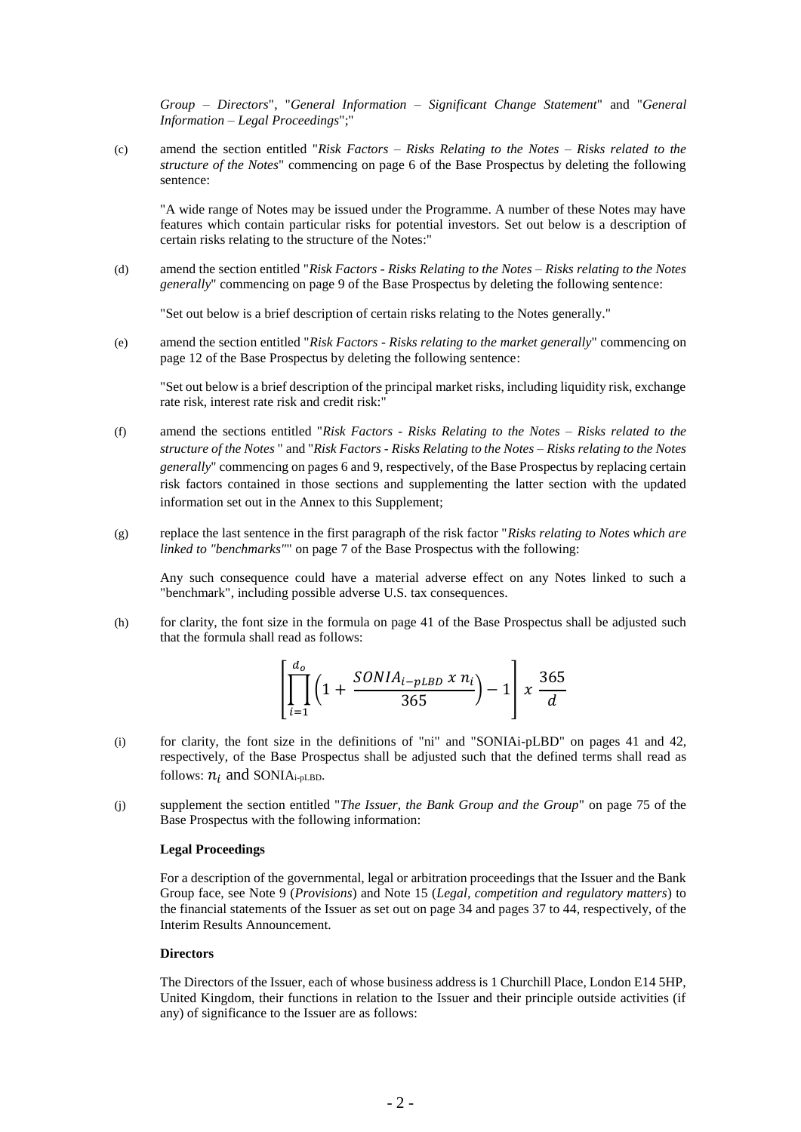*Group – Directors*", "*General Information – Significant Change Statement*" and "*General Information – Legal Proceedings*";"

(c) amend the section entitled "*Risk Factors – Risks Relating to the Notes – Risks related to the structure of the Notes*" commencing on page 6 of the Base Prospectus by deleting the following sentence:

"A wide range of Notes may be issued under the Programme. A number of these Notes may have features which contain particular risks for potential investors. Set out below is a description of certain risks relating to the structure of the Notes:"

(d) amend the section entitled "*Risk Factors - Risks Relating to the Notes – Risks relating to the Notes generally*" commencing on page 9 of the Base Prospectus by deleting the following sentence:

"Set out below is a brief description of certain risks relating to the Notes generally."

(e) amend the section entitled "*Risk Factors - Risks relating to the market generally*" commencing on page 12 of the Base Prospectus by deleting the following sentence:

"Set out below is a brief description of the principal market risks, including liquidity risk, exchange rate risk, interest rate risk and credit risk:"

- (f) amend the sections entitled "*Risk Factors - Risks Relating to the Notes – Risks related to the structure of the Notes* " and "*Risk Factors - Risks Relating to the Notes – Risks relating to the Notes generally*" commencing on pages 6 and 9, respectively, of the Base Prospectus by replacing certain risk factors contained in those sections and supplementing the latter section with the updated information set out in the Annex to this Supplement;
- (g) replace the last sentence in the first paragraph of the risk factor "*Risks relating to Notes which are linked to "benchmarks"*" on page 7 of the Base Prospectus with the following:

Any such consequence could have a material adverse effect on any Notes linked to such a "benchmark", including possible adverse U.S. tax consequences.

(h) for clarity, the font size in the formula on page 41 of the Base Prospectus shall be adjusted such that the formula shall read as follows:

$$
\left[ \prod_{i=1}^{d_o} \left( 1 + \frac{SONIA_{i-pLBD} \; x \; n_i}{365} \right) - 1 \right] x \; \frac{365}{d}
$$

- (i) for clarity, the font size in the definitions of "ni" and "SONIAi-pLBD" on pages 41 and 42, respectively, of the Base Prospectus shall be adjusted such that the defined terms shall read as follows:  $n_i$  and SONIA<sub>i-pLBD</sub>.
- (j) supplement the section entitled "*The Issuer, the Bank Group and the Group*" on page 75 of the Base Prospectus with the following information:

# **Legal Proceedings**

For a description of the governmental, legal or arbitration proceedings that the Issuer and the Bank Group face, see Note 9 (*Provisions*) and Note 15 (*Legal, competition and regulatory matters*) to the financial statements of the Issuer as set out on page 34 and pages 37 to 44, respectively, of the Interim Results Announcement.

# **Directors**

The Directors of the Issuer, each of whose business address is 1 Churchill Place, London E14 5HP, United Kingdom, their functions in relation to the Issuer and their principle outside activities (if any) of significance to the Issuer are as follows: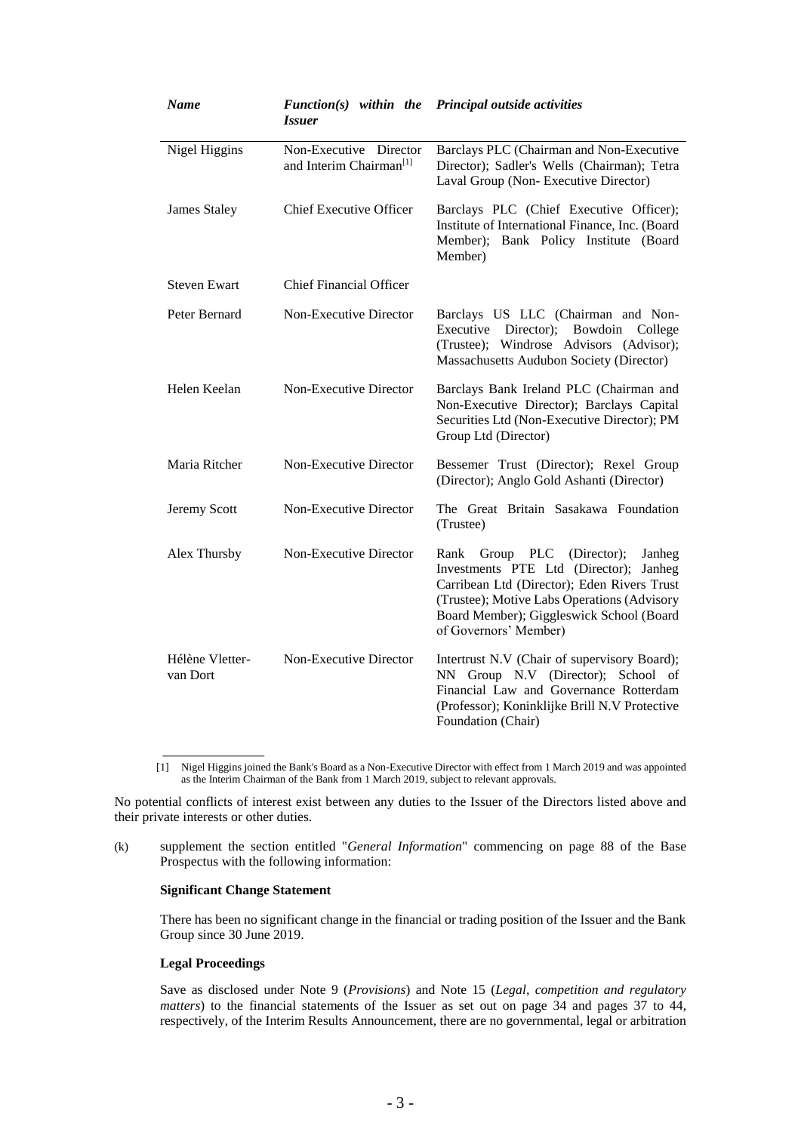| <b>Name</b>                 | <i><b>Issuer</b></i>                                          | $Function(s)$ within the Principal outside activities                                                                                                                                                                                                      |
|-----------------------------|---------------------------------------------------------------|------------------------------------------------------------------------------------------------------------------------------------------------------------------------------------------------------------------------------------------------------------|
| Nigel Higgins               | Non-Executive Director<br>and Interim Chairman <sup>[1]</sup> | Barclays PLC (Chairman and Non-Executive<br>Director); Sadler's Wells (Chairman); Tetra<br>Laval Group (Non-Executive Director)                                                                                                                            |
| James Staley                | <b>Chief Executive Officer</b>                                | Barclays PLC (Chief Executive Officer);<br>Institute of International Finance, Inc. (Board<br>Member); Bank Policy Institute (Board<br>Member)                                                                                                             |
| <b>Steven Ewart</b>         | <b>Chief Financial Officer</b>                                |                                                                                                                                                                                                                                                            |
| Peter Bernard               | Non-Executive Director                                        | Barclays US LLC (Chairman and Non-<br>Executive Director); Bowdoin College<br>(Trustee); Windrose Advisors (Advisor);<br>Massachusetts Audubon Society (Director)                                                                                          |
| Helen Keelan                | Non-Executive Director                                        | Barclays Bank Ireland PLC (Chairman and<br>Non-Executive Director); Barclays Capital<br>Securities Ltd (Non-Executive Director); PM<br>Group Ltd (Director)                                                                                                |
| Maria Ritcher               | Non-Executive Director                                        | Bessemer Trust (Director); Rexel Group<br>(Director); Anglo Gold Ashanti (Director)                                                                                                                                                                        |
| Jeremy Scott                | Non-Executive Director                                        | The Great Britain Sasakawa Foundation<br>(Trustee)                                                                                                                                                                                                         |
| Alex Thursby                | Non-Executive Director                                        | Group PLC<br>(Director);<br>Rank<br>Janheg<br>Investments PTE Ltd (Director);<br>Janheg<br>Carribean Ltd (Director); Eden Rivers Trust<br>(Trustee); Motive Labs Operations (Advisory<br>Board Member); Giggleswick School (Board<br>of Governors' Member) |
| Hélène Vletter-<br>van Dort | Non-Executive Director                                        | Intertrust N.V (Chair of supervisory Board);<br>NN Group N.V (Director); School of<br>Financial Law and Governance Rotterdam<br>(Professor); Koninklijke Brill N.V Protective<br>Foundation (Chair)                                                        |

[1] Nigel Higgins joined the Bank's Board as a Non-Executive Director with effect from 1 March 2019 and was appointed as the Interim Chairman of the Bank from 1 March 2019, subject to relevant approvals.

No potential conflicts of interest exist between any duties to the Issuer of the Directors listed above and their private interests or other duties.

(k) supplement the section entitled "*General Information*" commencing on page 88 of the Base Prospectus with the following information:

### **Significant Change Statement**

There has been no significant change in the financial or trading position of the Issuer and the Bank Group since 30 June 2019.

# **Legal Proceedings**

\_\_\_\_\_\_\_\_\_\_\_\_\_\_\_

Save as disclosed under Note 9 (*Provisions*) and Note 15 (*Legal, competition and regulatory matters*) to the financial statements of the Issuer as set out on page 34 and pages 37 to 44, respectively, of the Interim Results Announcement, there are no governmental, legal or arbitration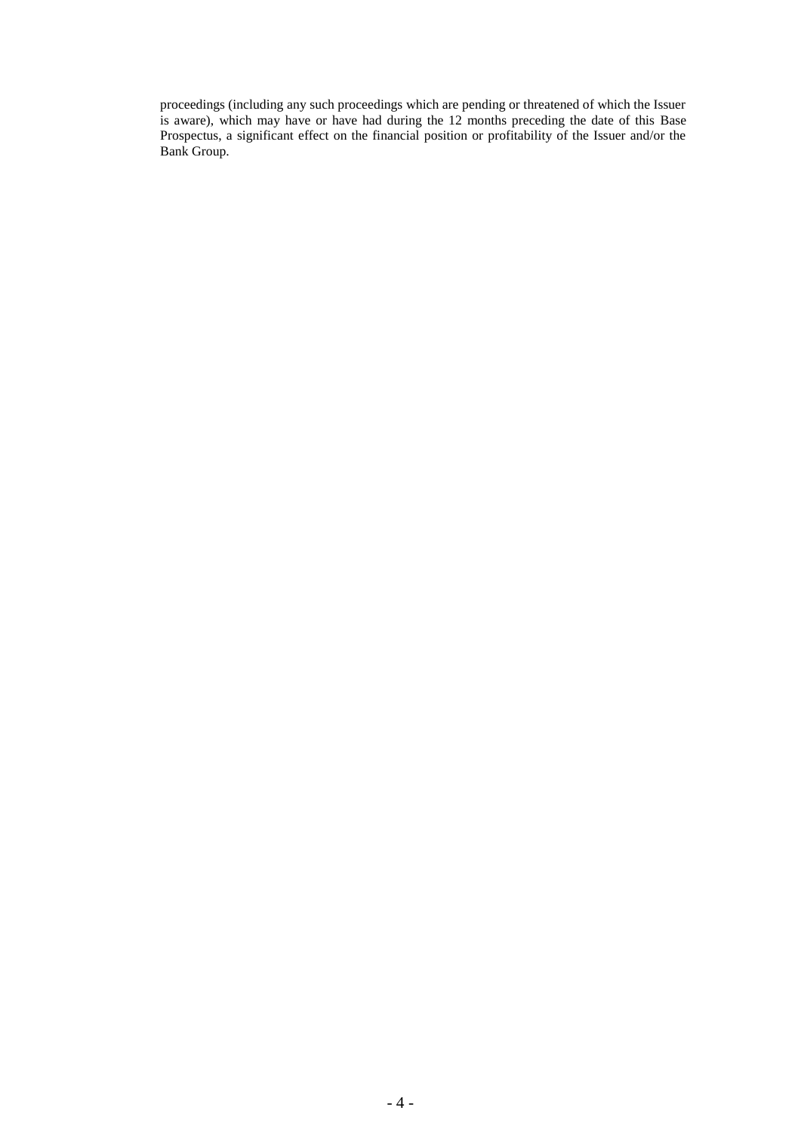proceedings (including any such proceedings which are pending or threatened of which the Issuer is aware), which may have or have had during the 12 months preceding the date of this Base Prospectus, a significant effect on the financial position or profitability of the Issuer and/or the Bank Group.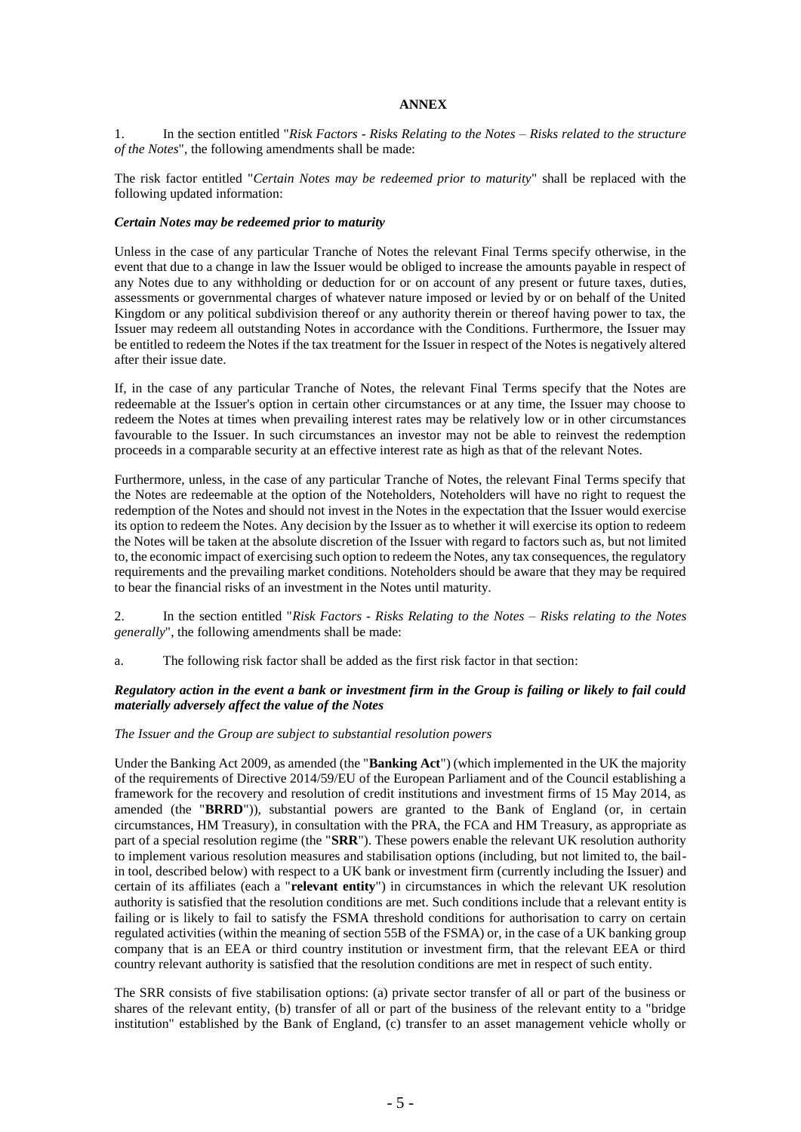### **ANNEX**

1. In the section entitled "*Risk Factors - Risks Relating to the Notes – Risks related to the structure of the Notes*", the following amendments shall be made:

The risk factor entitled "*Certain Notes may be redeemed prior to maturity*" shall be replaced with the following updated information:

#### *Certain Notes may be redeemed prior to maturity*

Unless in the case of any particular Tranche of Notes the relevant Final Terms specify otherwise, in the event that due to a change in law the Issuer would be obliged to increase the amounts payable in respect of any Notes due to any withholding or deduction for or on account of any present or future taxes, duties, assessments or governmental charges of whatever nature imposed or levied by or on behalf of the United Kingdom or any political subdivision thereof or any authority therein or thereof having power to tax, the Issuer may redeem all outstanding Notes in accordance with the Conditions. Furthermore, the Issuer may be entitled to redeem the Notes if the tax treatment for the Issuer in respect of the Notes is negatively altered after their issue date.

If, in the case of any particular Tranche of Notes, the relevant Final Terms specify that the Notes are redeemable at the Issuer's option in certain other circumstances or at any time, the Issuer may choose to redeem the Notes at times when prevailing interest rates may be relatively low or in other circumstances favourable to the Issuer. In such circumstances an investor may not be able to reinvest the redemption proceeds in a comparable security at an effective interest rate as high as that of the relevant Notes.

Furthermore, unless, in the case of any particular Tranche of Notes, the relevant Final Terms specify that the Notes are redeemable at the option of the Noteholders, Noteholders will have no right to request the redemption of the Notes and should not invest in the Notes in the expectation that the Issuer would exercise its option to redeem the Notes. Any decision by the Issuer as to whether it will exercise its option to redeem the Notes will be taken at the absolute discretion of the Issuer with regard to factors such as, but not limited to, the economic impact of exercising such option to redeem the Notes, any tax consequences, the regulatory requirements and the prevailing market conditions. Noteholders should be aware that they may be required to bear the financial risks of an investment in the Notes until maturity.

2. In the section entitled "*Risk Factors - Risks Relating to the Notes – Risks relating to the Notes generally*", the following amendments shall be made:

a. The following risk factor shall be added as the first risk factor in that section:

# *Regulatory action in the event a bank or investment firm in the Group is failing or likely to fail could materially adversely affect the value of the Notes*

#### *The Issuer and the Group are subject to substantial resolution powers*

Under the Banking Act 2009, as amended (the "**Banking Act**") (which implemented in the UK the majority of the requirements of Directive 2014/59/EU of the European Parliament and of the Council establishing a framework for the recovery and resolution of credit institutions and investment firms of 15 May 2014, as amended (the "**BRRD**")), substantial powers are granted to the Bank of England (or, in certain circumstances, HM Treasury), in consultation with the PRA, the FCA and HM Treasury, as appropriate as part of a special resolution regime (the "**SRR**"). These powers enable the relevant UK resolution authority to implement various resolution measures and stabilisation options (including, but not limited to, the bailin tool, described below) with respect to a UK bank or investment firm (currently including the Issuer) and certain of its affiliates (each a "**relevant entity**") in circumstances in which the relevant UK resolution authority is satisfied that the resolution conditions are met. Such conditions include that a relevant entity is failing or is likely to fail to satisfy the FSMA threshold conditions for authorisation to carry on certain regulated activities (within the meaning of section 55B of the FSMA) or, in the case of a UK banking group company that is an EEA or third country institution or investment firm, that the relevant EEA or third country relevant authority is satisfied that the resolution conditions are met in respect of such entity.

The SRR consists of five stabilisation options: (a) private sector transfer of all or part of the business or shares of the relevant entity, (b) transfer of all or part of the business of the relevant entity to a "bridge institution" established by the Bank of England, (c) transfer to an asset management vehicle wholly or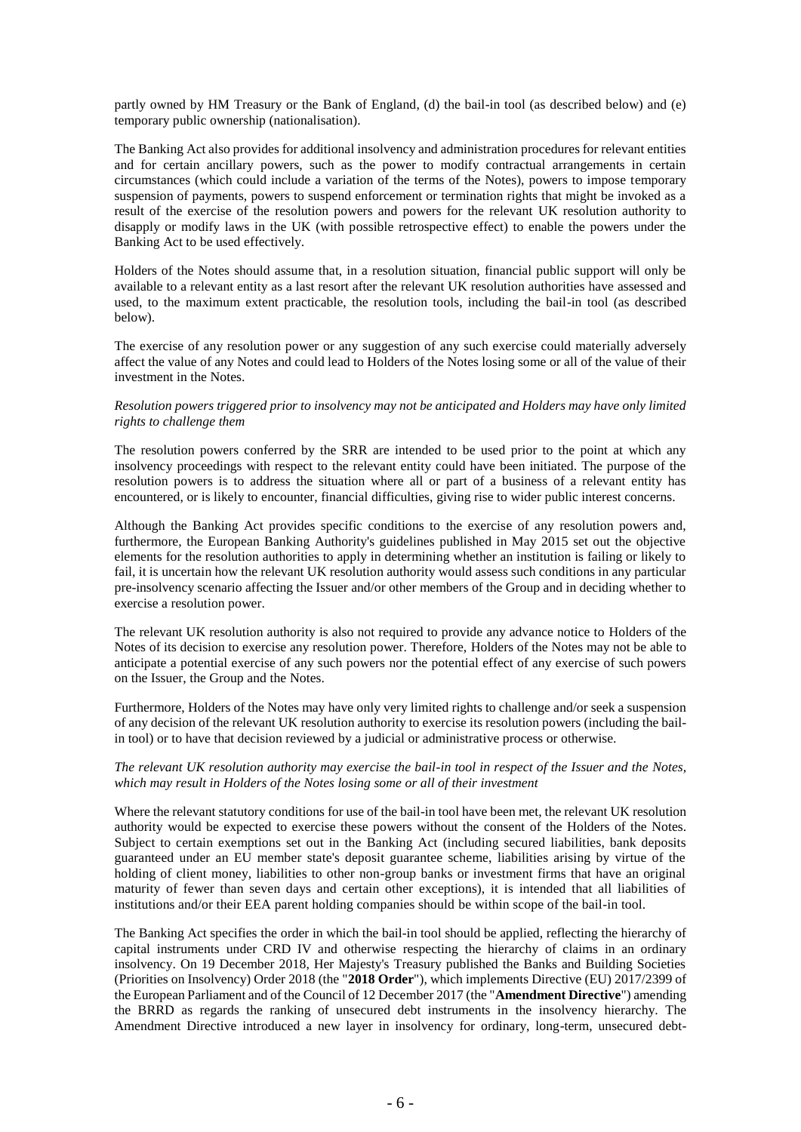partly owned by HM Treasury or the Bank of England, (d) the bail-in tool (as described below) and (e) temporary public ownership (nationalisation).

The Banking Act also provides for additional insolvency and administration procedures for relevant entities and for certain ancillary powers, such as the power to modify contractual arrangements in certain circumstances (which could include a variation of the terms of the Notes), powers to impose temporary suspension of payments, powers to suspend enforcement or termination rights that might be invoked as a result of the exercise of the resolution powers and powers for the relevant UK resolution authority to disapply or modify laws in the UK (with possible retrospective effect) to enable the powers under the Banking Act to be used effectively.

Holders of the Notes should assume that, in a resolution situation, financial public support will only be available to a relevant entity as a last resort after the relevant UK resolution authorities have assessed and used, to the maximum extent practicable, the resolution tools, including the bail-in tool (as described below).

The exercise of any resolution power or any suggestion of any such exercise could materially adversely affect the value of any Notes and could lead to Holders of the Notes losing some or all of the value of their investment in the Notes.

# *Resolution powers triggered prior to insolvency may not be anticipated and Holders may have only limited rights to challenge them*

The resolution powers conferred by the SRR are intended to be used prior to the point at which any insolvency proceedings with respect to the relevant entity could have been initiated. The purpose of the resolution powers is to address the situation where all or part of a business of a relevant entity has encountered, or is likely to encounter, financial difficulties, giving rise to wider public interest concerns.

Although the Banking Act provides specific conditions to the exercise of any resolution powers and, furthermore, the European Banking Authority's guidelines published in May 2015 set out the objective elements for the resolution authorities to apply in determining whether an institution is failing or likely to fail, it is uncertain how the relevant UK resolution authority would assess such conditions in any particular pre-insolvency scenario affecting the Issuer and/or other members of the Group and in deciding whether to exercise a resolution power.

The relevant UK resolution authority is also not required to provide any advance notice to Holders of the Notes of its decision to exercise any resolution power. Therefore, Holders of the Notes may not be able to anticipate a potential exercise of any such powers nor the potential effect of any exercise of such powers on the Issuer, the Group and the Notes.

Furthermore, Holders of the Notes may have only very limited rights to challenge and/or seek a suspension of any decision of the relevant UK resolution authority to exercise its resolution powers (including the bailin tool) or to have that decision reviewed by a judicial or administrative process or otherwise.

## *The relevant UK resolution authority may exercise the bail-in tool in respect of the Issuer and the Notes, which may result in Holders of the Notes losing some or all of their investment*

Where the relevant statutory conditions for use of the bail-in tool have been met, the relevant UK resolution authority would be expected to exercise these powers without the consent of the Holders of the Notes. Subject to certain exemptions set out in the Banking Act (including secured liabilities, bank deposits guaranteed under an EU member state's deposit guarantee scheme, liabilities arising by virtue of the holding of client money, liabilities to other non-group banks or investment firms that have an original maturity of fewer than seven days and certain other exceptions), it is intended that all liabilities of institutions and/or their EEA parent holding companies should be within scope of the bail-in tool.

The Banking Act specifies the order in which the bail-in tool should be applied, reflecting the hierarchy of capital instruments under CRD IV and otherwise respecting the hierarchy of claims in an ordinary insolvency. On 19 December 2018, Her Majesty's Treasury published the Banks and Building Societies (Priorities on Insolvency) Order 2018 (the "**2018 Order**"), which implements Directive (EU) 2017/2399 of the European Parliament and of the Council of 12 December 2017 (the "**Amendment Directive**") amending the BRRD as regards the ranking of unsecured debt instruments in the insolvency hierarchy. The Amendment Directive introduced a new layer in insolvency for ordinary, long-term, unsecured debt-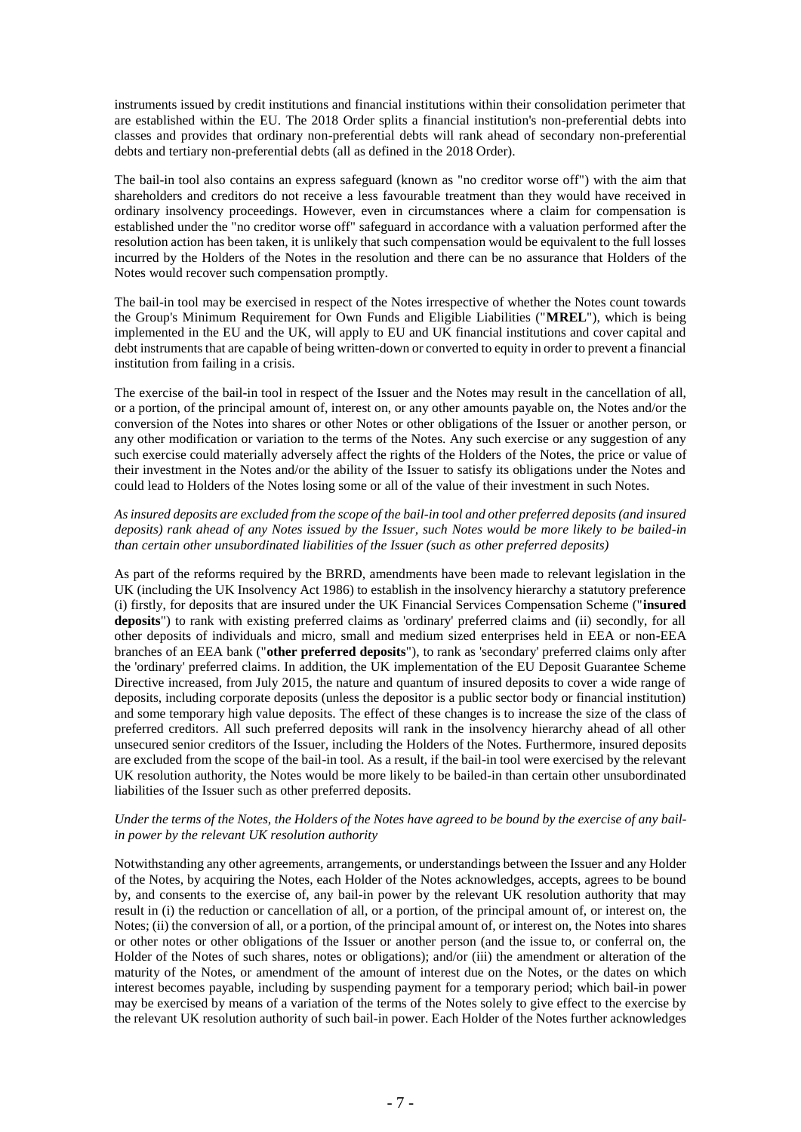instruments issued by credit institutions and financial institutions within their consolidation perimeter that are established within the EU. The 2018 Order splits a financial institution's non-preferential debts into classes and provides that ordinary non-preferential debts will rank ahead of secondary non-preferential debts and tertiary non-preferential debts (all as defined in the 2018 Order).

The bail-in tool also contains an express safeguard (known as "no creditor worse off") with the aim that shareholders and creditors do not receive a less favourable treatment than they would have received in ordinary insolvency proceedings. However, even in circumstances where a claim for compensation is established under the "no creditor worse off" safeguard in accordance with a valuation performed after the resolution action has been taken, it is unlikely that such compensation would be equivalent to the full losses incurred by the Holders of the Notes in the resolution and there can be no assurance that Holders of the Notes would recover such compensation promptly.

The bail-in tool may be exercised in respect of the Notes irrespective of whether the Notes count towards the Group's Minimum Requirement for Own Funds and Eligible Liabilities ("**MREL**"), which is being implemented in the EU and the UK, will apply to EU and UK financial institutions and cover capital and debt instruments that are capable of being written-down or converted to equity in order to prevent a financial institution from failing in a crisis.

The exercise of the bail-in tool in respect of the Issuer and the Notes may result in the cancellation of all, or a portion, of the principal amount of, interest on, or any other amounts payable on, the Notes and/or the conversion of the Notes into shares or other Notes or other obligations of the Issuer or another person, or any other modification or variation to the terms of the Notes. Any such exercise or any suggestion of any such exercise could materially adversely affect the rights of the Holders of the Notes, the price or value of their investment in the Notes and/or the ability of the Issuer to satisfy its obligations under the Notes and could lead to Holders of the Notes losing some or all of the value of their investment in such Notes.

# *As insured deposits are excluded from the scope of the bail-in tool and other preferred deposits (and insured deposits) rank ahead of any Notes issued by the Issuer, such Notes would be more likely to be bailed-in than certain other unsubordinated liabilities of the Issuer (such as other preferred deposits)*

As part of the reforms required by the BRRD, amendments have been made to relevant legislation in the UK (including the UK Insolvency Act 1986) to establish in the insolvency hierarchy a statutory preference (i) firstly, for deposits that are insured under the UK Financial Services Compensation Scheme ("**insured deposits**") to rank with existing preferred claims as 'ordinary' preferred claims and (ii) secondly, for all other deposits of individuals and micro, small and medium sized enterprises held in EEA or non-EEA branches of an EEA bank ("**other preferred deposits**"), to rank as 'secondary' preferred claims only after the 'ordinary' preferred claims. In addition, the UK implementation of the EU Deposit Guarantee Scheme Directive increased, from July 2015, the nature and quantum of insured deposits to cover a wide range of deposits, including corporate deposits (unless the depositor is a public sector body or financial institution) and some temporary high value deposits. The effect of these changes is to increase the size of the class of preferred creditors. All such preferred deposits will rank in the insolvency hierarchy ahead of all other unsecured senior creditors of the Issuer, including the Holders of the Notes. Furthermore, insured deposits are excluded from the scope of the bail-in tool. As a result, if the bail-in tool were exercised by the relevant UK resolution authority, the Notes would be more likely to be bailed-in than certain other unsubordinated liabilities of the Issuer such as other preferred deposits.

# *Under the terms of the Notes, the Holders of the Notes have agreed to be bound by the exercise of any bailin power by the relevant UK resolution authority*

Notwithstanding any other agreements, arrangements, or understandings between the Issuer and any Holder of the Notes, by acquiring the Notes, each Holder of the Notes acknowledges, accepts, agrees to be bound by, and consents to the exercise of, any bail-in power by the relevant UK resolution authority that may result in (i) the reduction or cancellation of all, or a portion, of the principal amount of, or interest on, the Notes; (ii) the conversion of all, or a portion, of the principal amount of, or interest on, the Notes into shares or other notes or other obligations of the Issuer or another person (and the issue to, or conferral on, the Holder of the Notes of such shares, notes or obligations); and/or (iii) the amendment or alteration of the maturity of the Notes, or amendment of the amount of interest due on the Notes, or the dates on which interest becomes payable, including by suspending payment for a temporary period; which bail-in power may be exercised by means of a variation of the terms of the Notes solely to give effect to the exercise by the relevant UK resolution authority of such bail-in power. Each Holder of the Notes further acknowledges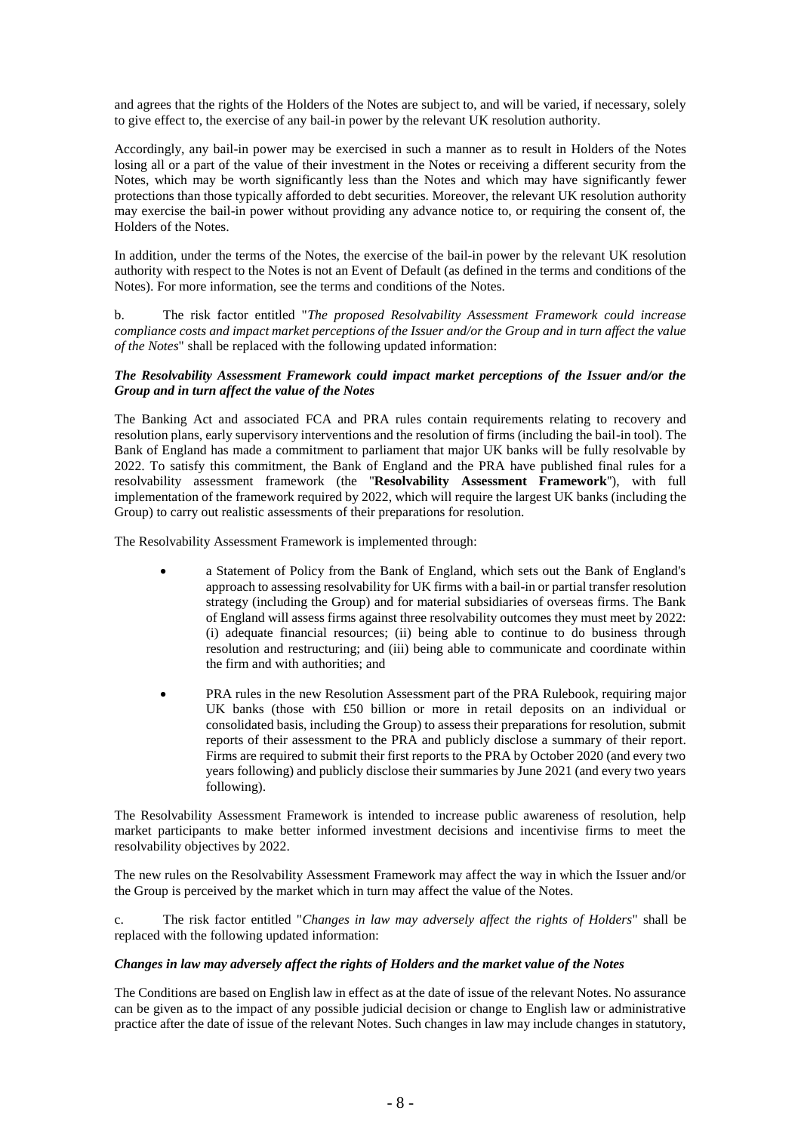and agrees that the rights of the Holders of the Notes are subject to, and will be varied, if necessary, solely to give effect to, the exercise of any bail-in power by the relevant UK resolution authority.

Accordingly, any bail-in power may be exercised in such a manner as to result in Holders of the Notes losing all or a part of the value of their investment in the Notes or receiving a different security from the Notes, which may be worth significantly less than the Notes and which may have significantly fewer protections than those typically afforded to debt securities. Moreover, the relevant UK resolution authority may exercise the bail-in power without providing any advance notice to, or requiring the consent of, the Holders of the Notes.

In addition, under the terms of the Notes, the exercise of the bail-in power by the relevant UK resolution authority with respect to the Notes is not an Event of Default (as defined in the terms and conditions of the Notes). For more information, see the terms and conditions of the Notes.

b. The risk factor entitled "*The proposed Resolvability Assessment Framework could increase compliance costs and impact market perceptions of the Issuer and/or the Group and in turn affect the value of the Notes*" shall be replaced with the following updated information:

# *The Resolvability Assessment Framework could impact market perceptions of the Issuer and/or the Group and in turn affect the value of the Notes*

The Banking Act and associated FCA and PRA rules contain requirements relating to recovery and resolution plans, early supervisory interventions and the resolution of firms (including the bail-in tool). The Bank of England has made a commitment to parliament that major UK banks will be fully resolvable by 2022. To satisfy this commitment, the Bank of England and the PRA have published final rules for a resolvability assessment framework (the ''**Resolvability Assessment Framework**''), with full implementation of the framework required by 2022, which will require the largest UK banks (including the Group) to carry out realistic assessments of their preparations for resolution.

The Resolvability Assessment Framework is implemented through:

- a Statement of Policy from the Bank of England, which sets out the Bank of England's approach to assessing resolvability for UK firms with a bail-in or partial transfer resolution strategy (including the Group) and for material subsidiaries of overseas firms. The Bank of England will assess firms against three resolvability outcomes they must meet by 2022: (i) adequate financial resources; (ii) being able to continue to do business through resolution and restructuring; and (iii) being able to communicate and coordinate within the firm and with authorities; and
- PRA rules in the new Resolution Assessment part of the PRA Rulebook, requiring major UK banks (those with £50 billion or more in retail deposits on an individual or consolidated basis, including the Group) to assess their preparations for resolution, submit reports of their assessment to the PRA and publicly disclose a summary of their report. Firms are required to submit their first reports to the PRA by October 2020 (and every two years following) and publicly disclose their summaries by June 2021 (and every two years following).

The Resolvability Assessment Framework is intended to increase public awareness of resolution, help market participants to make better informed investment decisions and incentivise firms to meet the resolvability objectives by 2022.

The new rules on the Resolvability Assessment Framework may affect the way in which the Issuer and/or the Group is perceived by the market which in turn may affect the value of the Notes.

c. The risk factor entitled "*Changes in law may adversely affect the rights of Holders*" shall be replaced with the following updated information:

# *Changes in law may adversely affect the rights of Holders and the market value of the Notes*

The Conditions are based on English law in effect as at the date of issue of the relevant Notes. No assurance can be given as to the impact of any possible judicial decision or change to English law or administrative practice after the date of issue of the relevant Notes. Such changes in law may include changes in statutory,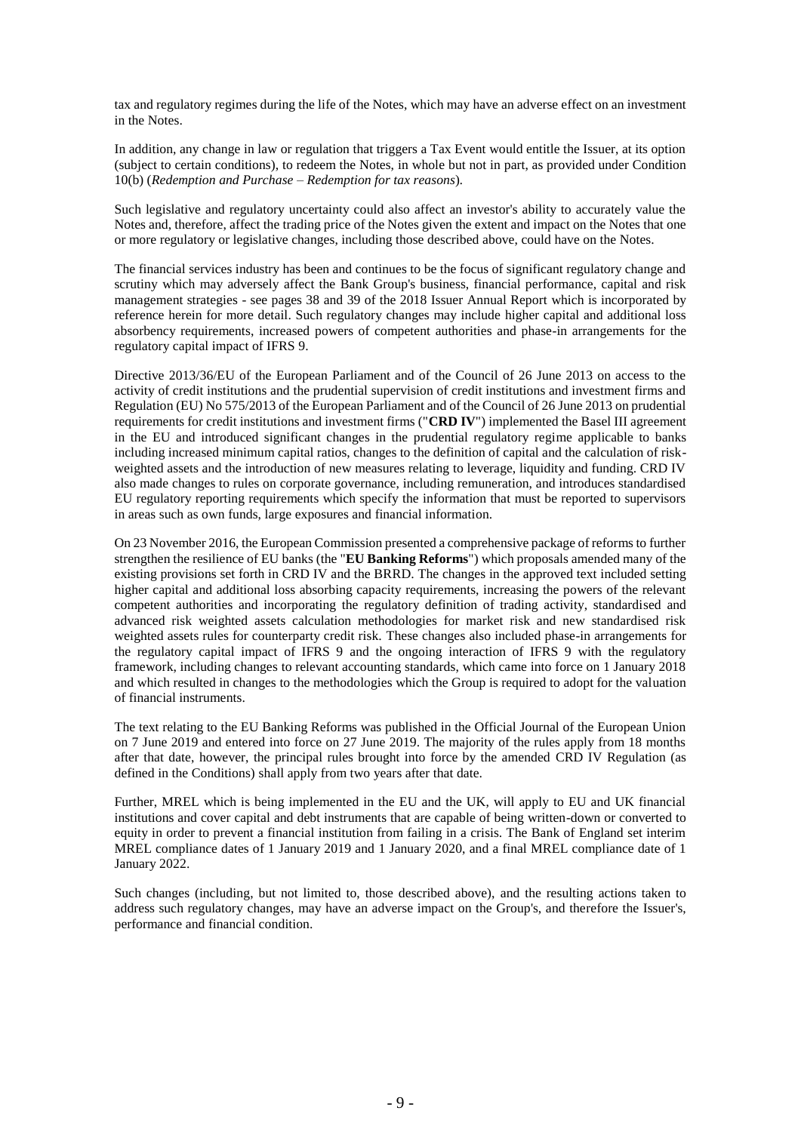tax and regulatory regimes during the life of the Notes, which may have an adverse effect on an investment in the Notes.

In addition, any change in law or regulation that triggers a Tax Event would entitle the Issuer, at its option (subject to certain conditions), to redeem the Notes, in whole but not in part, as provided under Condition 10(b) (*Redemption and Purchase – Redemption for tax reasons*)*.*

Such legislative and regulatory uncertainty could also affect an investor's ability to accurately value the Notes and, therefore, affect the trading price of the Notes given the extent and impact on the Notes that one or more regulatory or legislative changes, including those described above, could have on the Notes.

The financial services industry has been and continues to be the focus of significant regulatory change and scrutiny which may adversely affect the Bank Group's business, financial performance, capital and risk management strategies - see pages 38 and 39 of the 2018 Issuer Annual Report which is incorporated by reference herein for more detail. Such regulatory changes may include higher capital and additional loss absorbency requirements, increased powers of competent authorities and phase-in arrangements for the regulatory capital impact of IFRS 9.

Directive 2013/36/EU of the European Parliament and of the Council of 26 June 2013 on access to the activity of credit institutions and the prudential supervision of credit institutions and investment firms and Regulation (EU) No 575/2013 of the European Parliament and of the Council of 26 June 2013 on prudential requirements for credit institutions and investment firms ("**CRD IV**") implemented the Basel III agreement in the EU and introduced significant changes in the prudential regulatory regime applicable to banks including increased minimum capital ratios, changes to the definition of capital and the calculation of riskweighted assets and the introduction of new measures relating to leverage, liquidity and funding. CRD IV also made changes to rules on corporate governance, including remuneration, and introduces standardised EU regulatory reporting requirements which specify the information that must be reported to supervisors in areas such as own funds, large exposures and financial information.

On 23 November 2016, the European Commission presented a comprehensive package of reforms to further strengthen the resilience of EU banks (the "**EU Banking Reforms**") which proposals amended many of the existing provisions set forth in CRD IV and the BRRD. The changes in the approved text included setting higher capital and additional loss absorbing capacity requirements, increasing the powers of the relevant competent authorities and incorporating the regulatory definition of trading activity, standardised and advanced risk weighted assets calculation methodologies for market risk and new standardised risk weighted assets rules for counterparty credit risk. These changes also included phase-in arrangements for the regulatory capital impact of IFRS 9 and the ongoing interaction of IFRS 9 with the regulatory framework, including changes to relevant accounting standards, which came into force on 1 January 2018 and which resulted in changes to the methodologies which the Group is required to adopt for the valuation of financial instruments.

The text relating to the EU Banking Reforms was published in the Official Journal of the European Union on 7 June 2019 and entered into force on 27 June 2019. The majority of the rules apply from 18 months after that date, however, the principal rules brought into force by the amended CRD IV Regulation (as defined in the Conditions) shall apply from two years after that date.

Further, MREL which is being implemented in the EU and the UK, will apply to EU and UK financial institutions and cover capital and debt instruments that are capable of being written-down or converted to equity in order to prevent a financial institution from failing in a crisis. The Bank of England set interim MREL compliance dates of 1 January 2019 and 1 January 2020, and a final MREL compliance date of 1 January 2022.

Such changes (including, but not limited to, those described above), and the resulting actions taken to address such regulatory changes, may have an adverse impact on the Group's, and therefore the Issuer's, performance and financial condition.